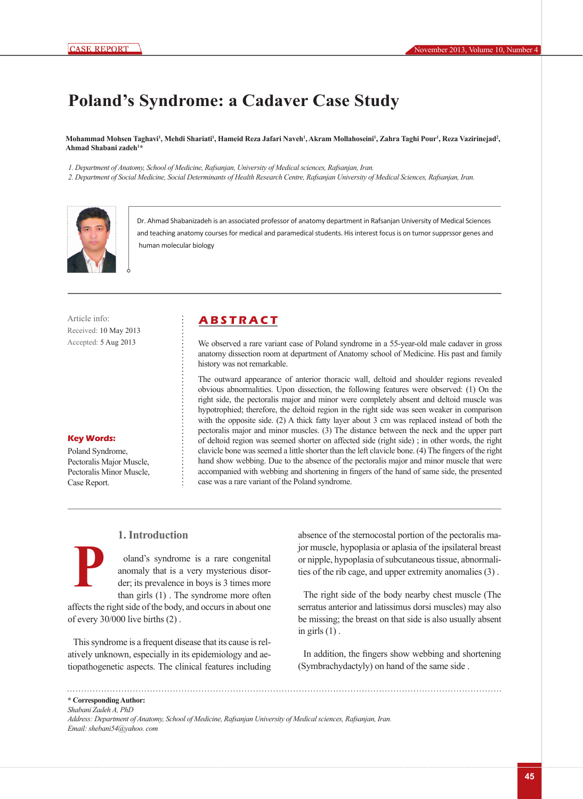# **Poland's Syndrome: a Cadaver Case Study**

Mohammad Mohsen Taghavi<sup>ı</sup>, Mehdi Shariati<sup>ı</sup>, Hameid Reza Jafari Naveh<sup>ı</sup>, Akram Mollahoseini<sup>ı</sup>, Zahra Taghi Pour<sup>ı</sup>, Reza Vazirinejad<sup>2</sup>, **Ahmad Shabani zadeh1 \***

*1. Department of Anatomy, School of Medicine, Rafsanjan, University of Medical sciences, Rafsanjan, Iran.*

*2. Department of Social Medicine, Social Determinants of Health Research Centre, Rafsanjan University of Medical Sciences, Rafsanjan, Iran.*



Dr. Ahmad Shabanizadeh is an associated professor of anatomy department in Rafsanjan University of Medical Sciences and teaching anatomy courses for medical and paramedical students. His interest focus is on tumor supprssor genes and human molecular biology

Article info: **A B S T R A C T** Received: 10 May 2013 Accepted: 5 Aug 2013

**Key Words:** Poland Syndrome, Pectoralis Major Muscle, Pectoralis Minor Muscle,

Case Report.

**P**

We observed a rare variant case of Poland syndrome in a 55-year-old male cadaver in gross anatomy dissection room at department of Anatomy school of Medicine. His past and family history was not remarkable.

The outward appearance of anterior thoracic wall, deltoid and shoulder regions revealed obvious abnormalities. Upon dissection, the following features were observed: (1) On the right side, the pectoralis major and minor were completely absent and deltoid muscle was hypotrophied; therefore, the deltoid region in the right side was seen weaker in comparison with the opposite side. (2) A thick fatty layer about 3 cm was replaced instead of both the pectoralis major and minor muscles. (3) The distance between the neck and the upper part of deltoid region was seemed shorter on affected side (right side) ; in other words, the right clavicle bone was seemed a little shorter than the left clavicle bone. (4) The fingers of the right hand show webbing. Due to the absence of the pectoralis major and minor muscle that were accompanied with webbing and shortening in fingers of the hand of same side, the presented case was a rare variant of the Poland syndrome.

## **1. Introduction**

oland's syndrome is a rare congenital anomaly that is a very mysterious disorder; its prevalence in boys is 3 times more than girls (1) . The syndrome more often

affects the right side of the body, and occurs in about one of every 30/000 live births (2) .

This syndrome is a frequent disease that its cause is relatively unknown, especially in its epidemiology and aetiopathogenetic aspects. The clinical features including absence of the sternocostal portion of the pectoralis major muscle, hypoplasia or aplasia of the ipsilateral breast or nipple, hypoplasia of subcutaneous tissue, abnormalities of the rib cage, and upper extremity anomalies (3) .

The right side of the body nearby chest muscle (The serratus anterior and latissimus dorsi muscles) may also be missing; the breast on that side is also usually absent in girls  $(1)$ .

In addition, the fingers show webbing and shortening (Symbrachydactyly) on hand of the same side .

**\* Corresponding Author:** *Shabani Zadeh A, PhD* 

*Address: Department of Anatomy, School of Medicine, Rafsanjan University of Medical sciences, Rafsanjan, Iran. Email: shebani54@yahoo. com*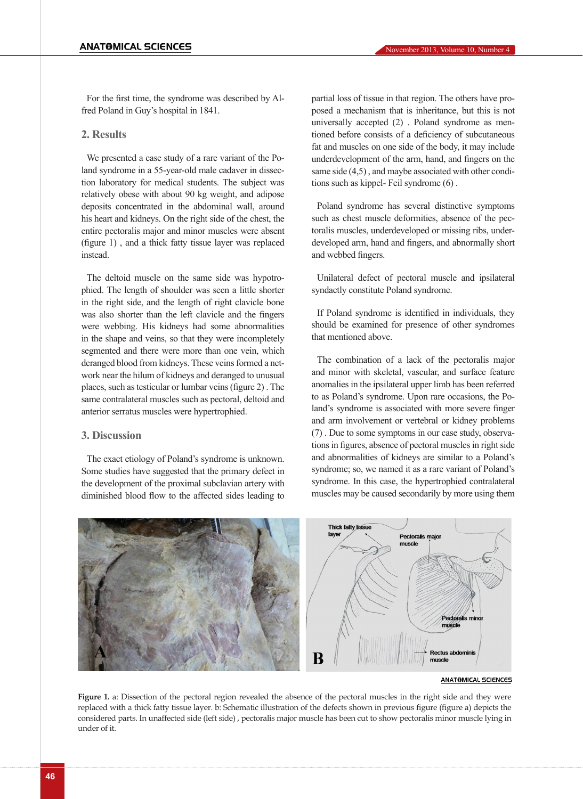For the first time, the syndrome was described by Alfred Poland in Guy's hospital in 1841.

### **2. Results**

We presented a case study of a rare variant of the Poland syndrome in a 55-year-old male cadaver in dissection laboratory for medical students. The subject was relatively obese with about 90 kg weight, and adipose deposits concentrated in the abdominal wall, around his heart and kidneys. On the right side of the chest, the entire pectoralis major and minor muscles were absent (figure 1) , and a thick fatty tissue layer was replaced instead.

The deltoid muscle on the same side was hypotrophied. The length of shoulder was seen a little shorter in the right side, and the length of right clavicle bone was also shorter than the left clavicle and the fingers were webbing. His kidneys had some abnormalities in the shape and veins, so that they were incompletely segmented and there were more than one vein, which deranged blood from kidneys. These veins formed a network near the hilum of kidneys and deranged to unusual places, such as testicular or lumbar veins (figure 2) . The same contralateral muscles such as pectoral, deltoid and anterior serratus muscles were hypertrophied.

### **3. Discussion**

The exact etiology of Poland's syndrome is unknown. Some studies have suggested that the primary defect in the development of the proximal subclavian artery with diminished blood flow to the affected sides leading to partial loss of tissue in that region. The others have proposed a mechanism that is inheritance, but this is not universally accepted (2) . Poland syndrome as mentioned before consists of a deficiency of subcutaneous fat and muscles on one side of the body, it may include underdevelopment of the arm, hand, and fingers on the same side (4,5) , and maybe associated with other conditions such as kippel- Feil syndrome (6) .

Poland syndrome has several distinctive symptoms such as chest muscle deformities, absence of the pectoralis muscles, underdeveloped or missing ribs, underdeveloped arm, hand and fingers, and abnormally short and webbed fingers.

Unilateral defect of pectoral muscle and ipsilateral syndactly constitute Poland syndrome.

If Poland syndrome is identified in individuals, they should be examined for presence of other syndromes that mentioned above.

The combination of a lack of the pectoralis major and minor with skeletal, vascular, and surface feature anomalies in the ipsilateral upper limb has been referred to as Poland's syndrome. Upon rare occasions, the Poland's syndrome is associated with more severe finger and arm involvement or vertebral or kidney problems (7) . Due to some symptoms in our case study, observations in figures, absence of pectoral muscles in right side and abnormalities of kidneys are similar to a Poland's syndrome; so, we named it as a rare variant of Poland's syndrome. In this case, the hypertrophied contralateral muscles may be caused secondarily by more using them



**ANATOMICAL SCIENCES** 

**Figure 1.** a: Dissection of the pectoral region revealed the absence of the pectoral muscles in the right side and they were replaced with a thick fatty tissue layer. b: Schematic illustration of the defects shown in previous figure (figure a) depicts the considered parts. In unaffected side (left side) , pectoralis major muscle has been cut to show pectoralis minor muscle lying in under of it.